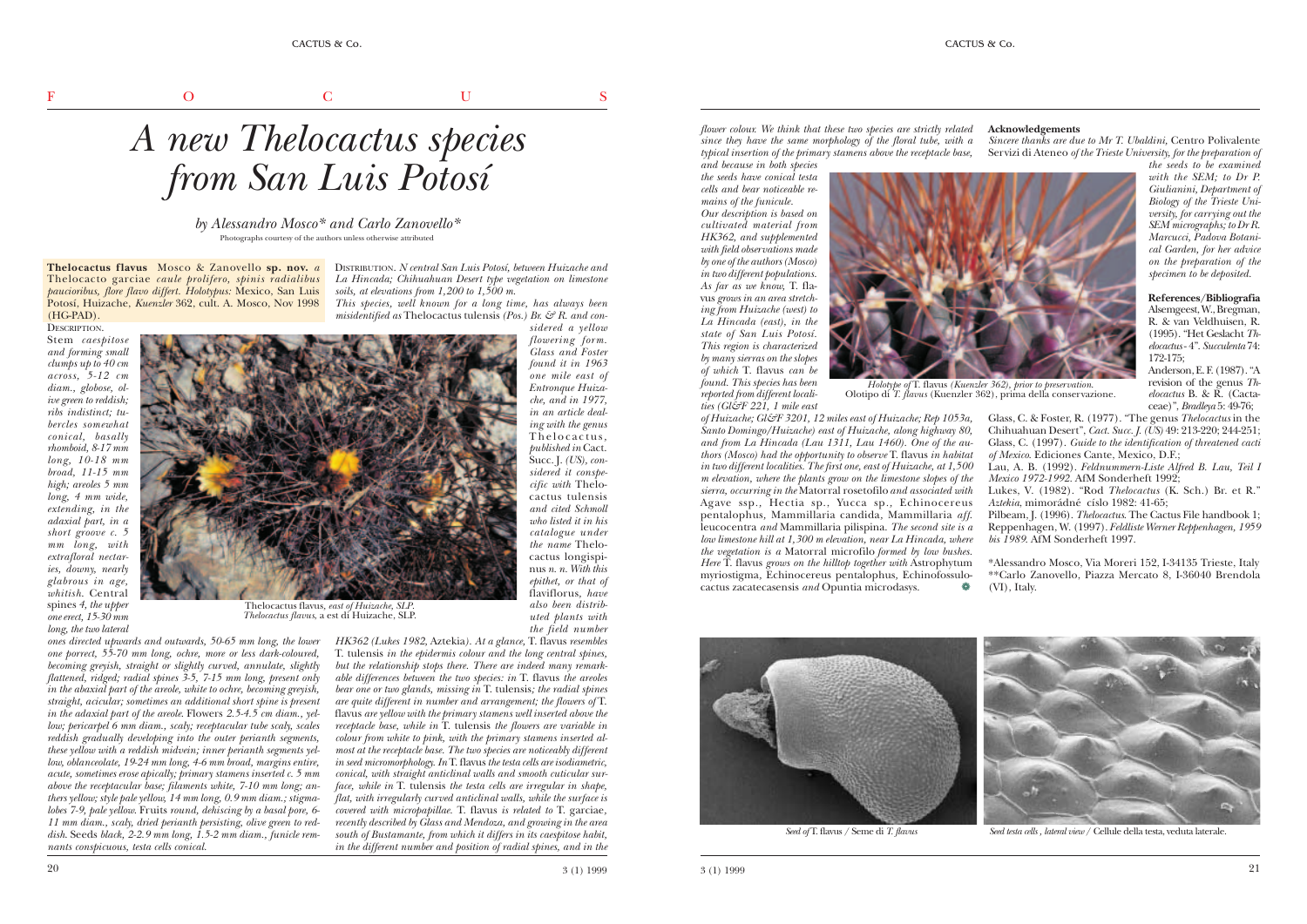**Thelocactus flavus** Mosco & Zanovello **sp. nov.**  *a* DISTRIBUTION. *N central San Luis Potosí, between Huizache and* Thelocacto garciae *caule prolifero, spinis radialibus La Hincada; Chihuahuan Desert type vegetation on limestone paucioribus, flore flavo differt. Holotypus:* Mexico, San Luis Potosí, Huizache, *Kuenzler* 362, cult. A. Mosco, Nov 1998 (HG-PAD).

DESCRIPTION. Stem *caespitose and forming small clumps up to 40 cm across, 5-12 cm diam., globose, olive green to reddish; ribs indistinct; tubercles somewhat conical, basally rhomboid, 8-17 mm long, 10-18 mm broad, 11-15 mm high; areoles 5 mm long, 4 mm wide, extending, in the adaxial part, in a short groove c. 5 mm long, with extrafloral nectaries, downy, nearly glabrous in age, whitish*. Central spines *4, the upper one erect, 15-30 mm long, the two lateral*



*ones directed upwards and outwards, 50-65 mm long, the lower one porrect, 55-70 mm long, ochre, more or less dark-coloured, becoming greyish, straight or slightly curved, annulate, slightly flattened, ridged; radial spines 3-5, 7-15 mm long, present only in the abaxial part of the areole, white to ochre, becoming greyish, straight, acicular; sometimes an additional short spine is present in the adaxial part of the areole*. Flowers *2.5-4.5 cm diam., yellow; pericarpel 6 mm diam., scaly; receptacular tube scaly, scales reddish gradually developing into the outer perianth segments, these yellow with a reddish midvein; inner perianth segments yellow, oblanceolate, 19-24 mm long, 4-6 mm broad, margins entire, acute, sometimes erose apically; primary stamens inserted c. 5 mm above the receptacular base; filaments white, 7-10 mm long; anthers yellow; style pale yellow, 14 mm long, 0.9 mm diam.; stigmalobes 7-9, pale yellow*. Fruits *round, dehiscing by a basal pore, 6- 11 mm diam., scaly, dried perianth persisting, olive green to reddish*. Seeds *black, 2-2.9 mm long, 1.5-2 mm diam., funicle remnants conspicuous, testa cells conical.*

*A new Thelocactus species from San Luis Potosí*

*by Alessandro Mosco\* and Carlo Zanovello\** Photographs courtesy of the authors unless otherwise attributed

*soils, at elevations from 1,200 to 1,500 m.*

*This species, well known for a long time, has always been* misidentified as Thelocactus tulensis *(Pos.)* Br.  $\mathcal{C}$  R. and con*sidered a yellow*

> *flowering form. Glass and Foster found it in 1963 one mile east of Entronque Huizache, and in 1977, in an article dealing with the genus* Thelocactus*, published in* Cact. Succ. J. *(US), considered it conspecific with* Thelocactus tulensis *and cited Schmoll who listed it in his*

*catalogue under the name* Thelocactus longispinus *n. n. With this epithet, or that of* flaviflorus*, have also been distributed plants with the field number*

*HK362 (Lukes 1982,* Aztekia*). At a glance,* T. flavus *resembles* T. tulensis *in the epidermis colour and the long central spines, but the relationship stops there. There are indeed many remarkable differences between the two species: in* T. flavus *the areoles bear one or two glands, missing in* T. tulensis*; the radial spines are quite different in number and arrangement; the flowers of* T. flavus *are yellow with the primary stamens well inserted above the receptacle base, while in* T. tulensis *the flowers are variable in colour from white to pink, with the primary stamens inserted almost at the receptacle base. The two species are noticeably different in seed micromorphology. In* T. flavus *the testa cells are isodiametric, conical, with straight anticlinal walls and smooth cuticular surface, while in* T. tulensis *the testa cells are irregular in shape, flat, with irregularly curved anticlinal walls, while the surface is covered with micropapillae.* T. flavus *is related to* T. garciae*, recently described by Glass and Mendoza, and growing in the area south of Bustamante, from which it differs in its caespitose habit, in the different number and position of radial spines, and in the*

*flower colour. We think that these two species are strictly related since they have the same morphology of the floral tube, with a typical insertion of the primary stamens above the receptacle base,*

*and because in both species the seeds have conical testa cells and bear noticeable remains of the funicule.*

*Our description is based on cultivated material from HK362, and supplemented with field observations made by one of the authors (Mosco) in two different populations. As far as we know,* T. flavus *grows in an area stretching from Huizache (west) to La Hincada (east), in the state of San Luis Potosí. This region is characterized by many sierras on the slopes of which* T. flavus *can be found. This species has been reported from different localities (Gl&F 221, 1 mile east*

*of Huizache; Gl&F 3201, 12 miles east of Huizache; Rep 1053a, Santo Domingo/Huizache) east of Huizache, along highway 80, and from La Hincada (Lau 1311, Lau 1460). One of the authors (Mosco) had the opportunity to observe* T. flavus *in habitat in two different localities. The first one, east of Huizache, at 1,500 m elevation, where the plants grow on the limestone slopes of the sierra, occurring in the* Matorral rosetofilo*and associated with* Agave ssp*.,* Hectia sp., Yucca sp*.,* Echinocereus pentalophus*,* Mammillaria candida*,* Mammillaria *aff*. leucocentra *and* Mammillaria pilispina. *The second site is a low limestone hill at 1,300 m elevation, near La Hincada, where the vegetation is a* Matorral microfilo *formed by low bushes. Here* T. flavus *grows on the hilltop together with* Astrophytum myriostigma*,* Echinocereus pentalophus*,* Echinofossulocactus zacatecasensis *and* Opuntia microdasys. ❁



 $3(1)$  1999  $3(1)$  1999  $3(1)$  1999  $3(1)$ 

Thelocactus flavus*, east of Huizache, SLP*. *Thelocactus flavus*, a est di Huizache, SLP.

*Holotype of* T. flavus *(Kuenzler 362), prior to preservation*.



Olotipo di *T. flavus* (Kuenzler 362), prima della conservazione.

*Seed of* T. flavus / Seme di *T. flavus Seed testa cells , lateral view* / Cellule della testa, veduta laterale.

## **Acknowledgements**

*Sincere thanks are due to Mr T. Ubaldini,* Centro Polivalente Servizi di Ateneo *of the Trieste University, for the preparation of*

> *the seeds to be examined with the SEM; to Dr P. Giulianini, Department of Biology of the Trieste University, for carrying out the SEM micrographs; to Dr R. Marcucci, Padova Botanical Garden, for her advice on the preparation of the specimen to be deposited.*

**References/Bibliografia** Alsemgeest, W., Bregman, R. & van Veldhuisen, R. (1995). "Het Geslacht *Thelocactus*- 4". *Succulenta* 74: 172-175;

Anderson, E. F. (1987). "A revision of the genus *Thelocactus* B. & R. (Cactaceae)", *Bradleya* 5: 49-76;

Glass, C. & Foster, R. (1977). "The genus *Thelocactus* in the Chihuahuan Desert", *Cact. Succ. J. (US)* 49: 213-220; 244-251; Glass, C. (1997). *Guide to the identification of threatened cacti of Mexico*. Ediciones Cante, Mexico, D.F.;

Lau, A. B. (1992). *Feldnummern-Liste Alfred B. Lau, Teil I Mexico 1972-1992.* AfM Sonderheft 1992;

Lukes, V. (1982). "Rod *Thelocactus* (K. Sch.) Br. et R." *Aztekia*, mimorádné císlo 1982: 41-65;

Pilbeam, J. (1996). *Thelocactus*. The Cactus File handbook 1; Reppenhagen, W. (1997). *Feldliste Werner Reppenhagen, 1959 bis 1989*. AfM Sonderheft 1997.

\*Alessandro Mosco, Via Moreri 152, I-34135 Trieste, Italy \*\*Carlo Zanovello, Piazza Mercato 8, I-36040 Brendola (VI), Italy.